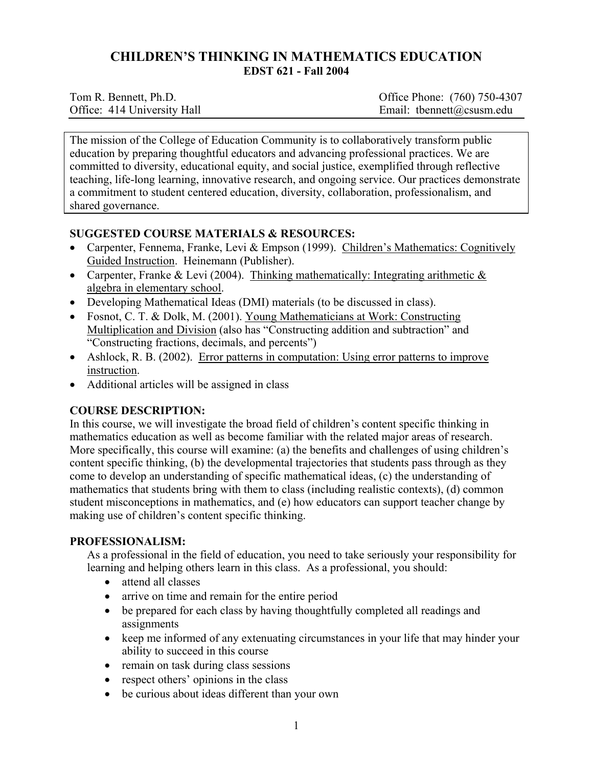# **CHILDREN'S THINKING IN MATHEMATICS EDUCATION EDST 621 - Fall 2004**

| Tom R. Bennett, Ph.D.       | Office Phone: (760) 750-4307 |
|-----------------------------|------------------------------|
| Office: 414 University Hall | Email: tbennett@csusm.edu    |

The mission of the College of Education Community is to collaboratively transform public education by preparing thoughtful educators and advancing professional practices. We are committed to diversity, educational equity, and social justice, exemplified through reflective teaching, life-long learning, innovative research, and ongoing service. Our practices demonstrate a commitment to student centered education, diversity, collaboration, professionalism, and shared governance.

## **SUGGESTED COURSE MATERIALS & RESOURCES:**

- Carpenter, Fennema, Franke, Levi & Empson (1999). Children's Mathematics: Cognitively Guided Instruction. Heinemann (Publisher).
- Carpenter, Franke & Levi (2004). Thinking mathematically: Integrating arithmetic & algebra in elementary school.
- Developing Mathematical Ideas (DMI) materials (to be discussed in class).
- Fosnot, C. T. & Dolk, M. (2001). Young Mathematicians at Work: Constructing Multiplication and Division (also has "Constructing addition and subtraction" and "Constructing fractions, decimals, and percents")
- Ashlock, R. B. (2002). Error patterns in computation: Using error patterns to improve instruction.
- Additional articles will be assigned in class

# **COURSE DESCRIPTION:**

In this course, we will investigate the broad field of children's content specific thinking in mathematics education as well as become familiar with the related major areas of research. More specifically, this course will examine: (a) the benefits and challenges of using children's content specific thinking, (b) the developmental trajectories that students pass through as they come to develop an understanding of specific mathematical ideas, (c) the understanding of mathematics that students bring with them to class (including realistic contexts), (d) common student misconceptions in mathematics, and (e) how educators can support teacher change by making use of children's content specific thinking.

# **PROFESSIONALISM:**

As a professional in the field of education, you need to take seriously your responsibility for learning and helping others learn in this class. As a professional, you should:

- attend all classes
- arrive on time and remain for the entire period
- be prepared for each class by having thoughtfully completed all readings and assignments
- keep me informed of any extenuating circumstances in your life that may hinder your ability to succeed in this course
- remain on task during class sessions
- respect others' opinions in the class
- be curious about ideas different than your own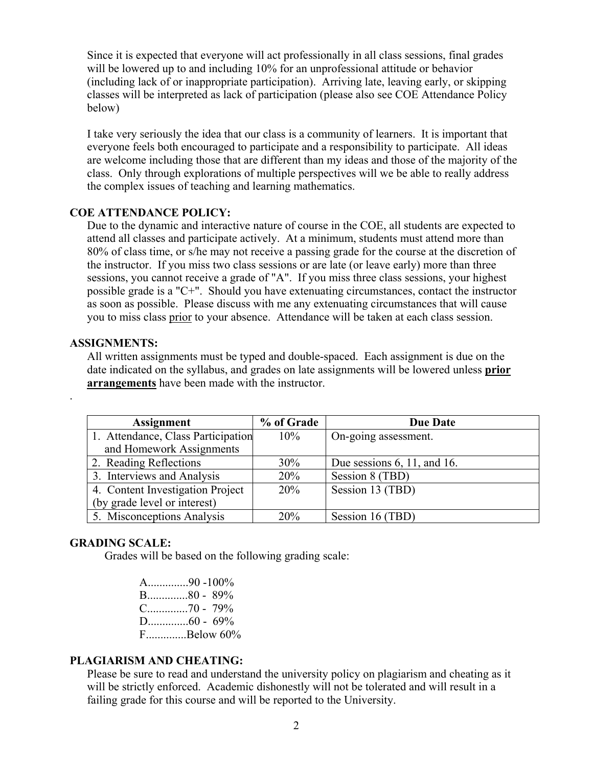Since it is expected that everyone will act professionally in all class sessions, final grades will be lowered up to and including 10% for an unprofessional attitude or behavior (including lack of or inappropriate participation). Arriving late, leaving early, or skipping classes will be interpreted as lack of participation (please also see COE Attendance Policy below)

I take very seriously the idea that our class is a community of learners. It is important that everyone feels both encouraged to participate and a responsibility to participate. All ideas are welcome including those that are different than my ideas and those of the majority of the class. Only through explorations of multiple perspectives will we be able to really address the complex issues of teaching and learning mathematics.

#### **COE ATTENDANCE POLICY:**

Due to the dynamic and interactive nature of course in the COE, all students are expected to attend all classes and participate actively. At a minimum, students must attend more than 80% of class time, or s/he may not receive a passing grade for the course at the discretion of the instructor. If you miss two class sessions or are late (or leave early) more than three sessions, you cannot receive a grade of "A". If you miss three class sessions, your highest possible grade is a "C+". Should you have extenuating circumstances, contact the instructor as soon as possible. Please discuss with me any extenuating circumstances that will cause you to miss class prior to your absence. Attendance will be taken at each class session.

#### **ASSIGNMENTS:**

.

All written assignments must be typed and double-spaced. Each assignment is due on the date indicated on the syllabus, and grades on late assignments will be lowered unless **prior arrangements** have been made with the instructor.

| <b>Assignment</b>                  | % of Grade | <b>Due Date</b>                |
|------------------------------------|------------|--------------------------------|
| 1. Attendance, Class Participation | 10%        | On-going assessment.           |
| and Homework Assignments           |            |                                |
| 2. Reading Reflections             | 30%        | Due sessions $6$ , 11, and 16. |
| 3. Interviews and Analysis         | 20%        | Session 8 (TBD)                |
| 4. Content Investigation Project   | 20%        | Session 13 (TBD)               |
| (by grade level or interest)       |            |                                |
| 5. Misconceptions Analysis         | 20%        | Session 16 (TBD)               |

## **GRADING SCALE:**

Grades will be based on the following grading scale:

A..............90 -100% B..............80 - 89% C..............70 - 79% D..............60 - 69% F..............Below 60%

### **PLAGIARISM AND CHEATING:**

Please be sure to read and understand the university policy on plagiarism and cheating as it will be strictly enforced. Academic dishonestly will not be tolerated and will result in a failing grade for this course and will be reported to the University.